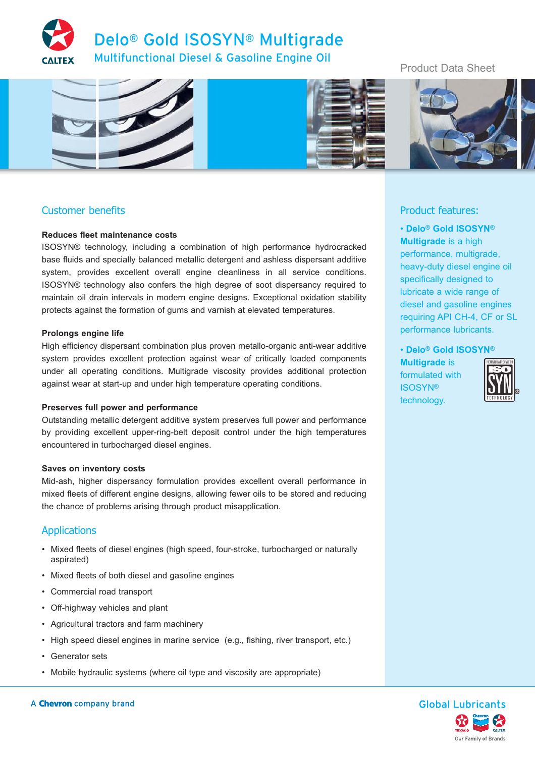



## Customer benefits

### **Reduces fleet maintenance costs**

ISOSYN® technology, including a combination of high performance hydrocracked base fluids and specially balanced metallic detergent and ashless dispersant additive system, provides excellent overall engine cleanliness in all service conditions. ISOSYN® technology also confers the high degree of soot dispersancy required to maintain oil drain intervals in modern engine designs. Exceptional oxidation stability protects against the formation of gums and varnish at elevated temperatures.

#### **Prolongs engine life**

High efficiency dispersant combination plus proven metallo-organic anti-wear additive system provides excellent protection against wear of critically loaded components under all operating conditions. Multigrade viscosity provides additional protection against wear at start-up and under high temperature operating conditions.

#### **Preserves full power and performance**

Outstanding metallic detergent additive system preserves full power and performance by providing excellent upper-ring-belt deposit control under the high temperatures encountered in turbocharged diesel engines.

#### **Saves on inventory costs**

Mid-ash, higher dispersancy formulation provides excellent overall performance in mixed fleets of different engine designs, allowing fewer oils to be stored and reducing the chance of problems arising through product misapplication.

### Applications

- Mixed fleets of diesel engines (high speed, four-stroke, turbocharged or naturally aspirated)
- Mixed fleets of both diesel and gasoline engines
- Commercial road transport
- Off-highway vehicles and plant
- Agricultural tractors and farm machinery
- High speed diesel engines in marine service (e.g., fishing, river transport, etc.)
- Generator sets
- Mobile hydraulic systems (where oil type and viscosity are appropriate)

## Product Data Sheet



## Product features:

• **Delo**® **Gold ISOSYN**® **Multigrade** is a high performance, multigrade, heavy-duty diesel engine oil specifically designed to lubricate a wide range of diesel and gasoline engines requiring API CH-4, CF or SL performance lubricants.

• **Delo**® **Gold ISOSYN**®

**Multigrade** is formulated with ISOSYN® technology.